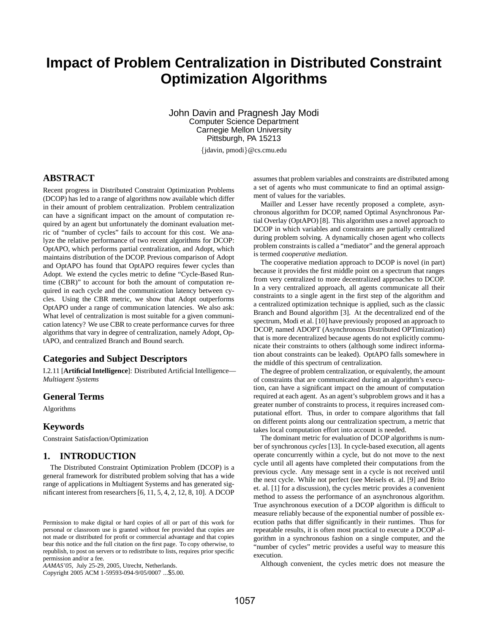# **Impact of Problem Centralization in Distributed Constraint Optimization Algorithms**

John Davin and Pragnesh Jay Modi Computer Science Department Carnegie Mellon University Pittsburgh, PA 15213

{jdavin, pmodi}@cs.cmu.edu

# **ABSTRACT**

Recent progress in Distributed Constraint Optimization Problems (DCOP) has led to a range of algorithms now available which differ in their amount of problem centralization. Problem centralization can have a significant impact on the amount of computation required by an agent but unfortunately the dominant evaluation metric of "number of cycles" fails to account for this cost. We analyze the relative performance of two recent algorithms for DCOP: OptAPO, which performs partial centralization, and Adopt, which maintains distribution of the DCOP. Previous comparison of Adopt and OptAPO has found that OptAPO requires fewer cycles than Adopt. We extend the cycles metric to define "Cycle-Based Runtime (CBR)" to account for both the amount of computation required in each cycle and the communication latency between cycles. Using the CBR metric, we show that Adopt outperforms OptAPO under a range of communication latencies. We also ask: What level of centralization is most suitable for a given communication latency? We use CBR to create performance curves for three algorithms that vary in degree of centralization, namely Adopt, OptAPO, and centralized Branch and Bound search.

## **Categories and Subject Descriptors**

I.2.11 [**Artificial Intelligence**]: Distributed Artificial Intelligence— *Multiagent Systems*

#### **General Terms**

Algorithms

### **Keywords**

Constraint Satisfaction/Optimization

## **1. INTRODUCTION**

The Distributed Constraint Optimization Problem (DCOP) is a general framework for distributed problem solving that has a wide range of applications in Multiagent Systems and has generated significant interest from researchers [6, 11, 5, 4, 2, 12, 8, 10]. A DCOP

Copyright 2005 ACM 1-59593-094-9/05/0007 ...\$5.00.

assumes that problem variables and constraints are distributed among a set of agents who must communicate to find an optimal assignment of values for the variables.

Mailler and Lesser have recently proposed a complete, asynchronous algorithm for DCOP, named Optimal Asynchronous Partial Overlay (OptAPO) [8]. This algorithm uses a novel approach to DCOP in which variables and constraints are partially centralized during problem solving. A dynamically chosen agent who collects problem constraints is called a "mediator" and the general approach is termed *cooperative mediation*.

The cooperative mediation approach to DCOP is novel (in part) because it provides the first middle point on a spectrum that ranges from very centralized to more decentralized approaches to DCOP. In a very centralized approach, all agents communicate all their constraints to a single agent in the first step of the algorithm and a centralized optimization technique is applied, such as the classic Branch and Bound algorithm [3]. At the decentralized end of the spectrum, Modi et al. [10] have previously proposed an approach to DCOP, named ADOPT (Asynchronous Distributed OPTimization) that is more decentralized because agents do not explicitly communicate their constraints to others (although some indirect information about constraints can be leaked). OptAPO falls somewhere in the middle of this spectrum of centralization.

The degree of problem centralization, or equivalently, the amount of constraints that are communicated during an algorithm's execution, can have a significant impact on the amount of computation required at each agent. As an agent's subproblem grows and it has a greater number of constraints to process, it requires increased computational effort. Thus, in order to compare algorithms that fall on different points along our centralization spectrum, a metric that takes local computation effort into account is needed.

The dominant metric for evaluation of DCOP algorithms is number of synchronous *cycles* [13]. In cycle-based execution, all agents operate concurrently within a cycle, but do not move to the next cycle until all agents have completed their computations from the previous cycle. Any message sent in a cycle is not received until the next cycle. While not perfect (see Meisels et. al. [9] and Brito et. al. [1] for a discussion), the cycles metric provides a convenient method to assess the performance of an asynchronous algorithm. True asynchronous execution of a DCOP algorithm is difficult to measure reliably because of the exponential number of possible execution paths that differ significantly in their runtimes. Thus for repeatable results, it is often most practical to execute a DCOP algorithm in a synchronous fashion on a single computer, and the "number of cycles" metric provides a useful way to measure this execution.

Although convenient, the cycles metric does not measure the

Permission to make digital or hard copies of all or part of this work for personal or classroom use is granted without fee provided that copies are not made or distributed for profit or commercial advantage and that copies bear this notice and the full citation on the first page. To copy otherwise, to republish, to post on servers or to redistribute to lists, requires prior specific permission and/or a fee.

*AAMAS'05,* July 25-29, 2005, Utrecht, Netherlands.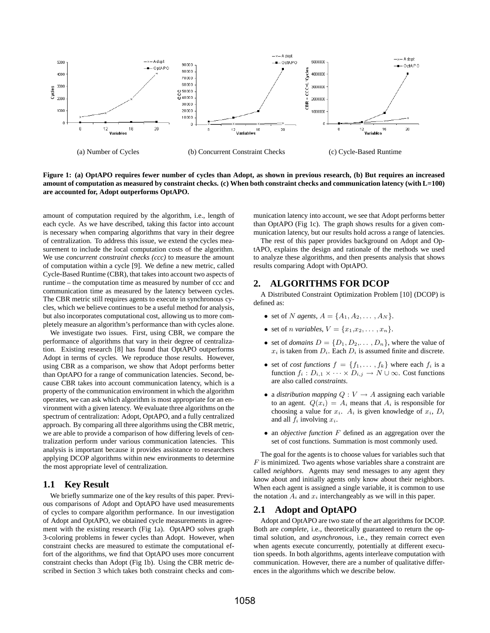

**Figure 1: (a) OptAPO requires fewer number of cycles than Adopt, as shown in previous research, (b) But requires an increased amount of computation as measured by constraint checks. (c) When both constraint checks and communication latency (with L=100) are accounted for, Adopt outperforms OptAPO.**

amount of computation required by the algorithm, i.e., length of each cycle. As we have described, taking this factor into account is necessary when comparing algorithms that vary in their degree of centralization. To address this issue, we extend the cycles measurement to include the local computation costs of the algorithm. We use *concurrent constraint checks (ccc)* to measure the amount of computation within a cycle [9]. We define a new metric, called Cycle-Based Runtime (CBR), that takes into account two aspects of runtime – the computation time as measured by number of ccc and communication time as measured by the latency between cycles. The CBR metric still requires agents to execute in synchronous cycles, which we believe continues to be a useful method for analysis, but also incorporates computational cost, allowing us to more completely measure an algorithm's performance than with cycles alone.

We investigate two issues. First, using CBR, we compare the performance of algorithms that vary in their degree of centralization. Existing research [8] has found that OptAPO outperforms Adopt in terms of cycles. We reproduce those results. However, using CBR as a comparison, we show that Adopt performs better than OptAPO for a range of communication latencies. Second, because CBR takes into account communication latency, which is a property of the communication environment in which the algorithm operates, we can ask which algorithm is most appropriate for an environment with a given latency. We evaluate three algorithms on the spectrum of centralization: Adopt, OptAPO, and a fully centralized approach. By comparing all three algorithms using the CBR metric, we are able to provide a comparison of how differing levels of centralization perform under various communication latencies. This analysis is important because it provides assistance to researchers applying DCOP algorithms within new environments to determine the most appropriate level of centralization.

#### **1.1 Key Result**

We briefly summarize one of the key results of this paper. Previous comparisons of Adopt and OptAPO have used measurements of cycles to compare algorithm performance. In our investigation of Adopt and OptAPO, we obtained cycle measurements in agreement with the existing research (Fig 1a). OptAPO solves graph 3-coloring problems in fewer cycles than Adopt. However, when constraint checks are measured to estimate the computational effort of the algorithms, we find that OptAPO uses more concurrent constraint checks than Adopt (Fig 1b). Using the CBR metric described in Section 3 which takes both constraint checks and communication latency into account, we see that Adopt performs better than OptAPO (Fig 1c). The graph shows results for a given communication latency, but our results hold across a range of latencies.

The rest of this paper provides background on Adopt and OptAPO, explains the design and rationale of the methods we used to analyze these algorithms, and then presents analysis that shows results comparing Adopt with OptAPO.

## **2. ALGORITHMS FOR DCOP**

A Distributed Constraint Optimization Problem [10] (DCOP) is defined as:

- set of *N agents*,  $A = \{A_1, A_2, ..., A_N\}.$
- set of *n variables*,  $V = \{x_1, x_2, \ldots, x_n\}.$
- set of *domains*  $D = \{D_1, D_2, \ldots, D_n\}$ , where the value of  $x_i$  is taken from  $D_i$ . Each  $D_i$  is assumed finite and discrete.
- set of *cost functions*  $f = \{f_1, \ldots, f_k\}$  where each  $f_i$  is a function  $f_i : D_{i,1} \times \cdots \times D_{i,j} \to N \cup \infty$ . Cost functions are also called *constraints*.
- a *distribution mapping*  $Q: V \to A$  assigning each variable to an agent.  $Q(x_i) = A_i$  means that  $A_i$  is responsible for choosing a value for  $x_i$ .  $A_i$  is given knowledge of  $x_i$ ,  $D_i$ and all  $f_i$  involving  $x_i$ .
- an *objective function* F defined as an aggregation over the set of cost functions. Summation is most commonly used.

The goal for the agents is to choose values for variables such that  $F$  is minimized. Two agents whose variables share a constraint are called *neighbors*. Agents may send messages to any agent they know about and initially agents only know about their neighbors. When each agent is assigned a single variable, it is common to use the notation  $A_i$  and  $x_i$  interchangeably as we will in this paper.

## **2.1 Adopt and OptAPO**

Adopt and OptAPO are two state of the art algorithms for DCOP. Both are *complete*, i.e., theoretically guaranteed to return the optimal solution, and *asynchronous*, i.e., they remain correct even when agents execute concurrently, potentially at different execution speeds. In both algorithms, agents interleave computation with communication. However, there are a number of qualitative differences in the algorithms which we describe below.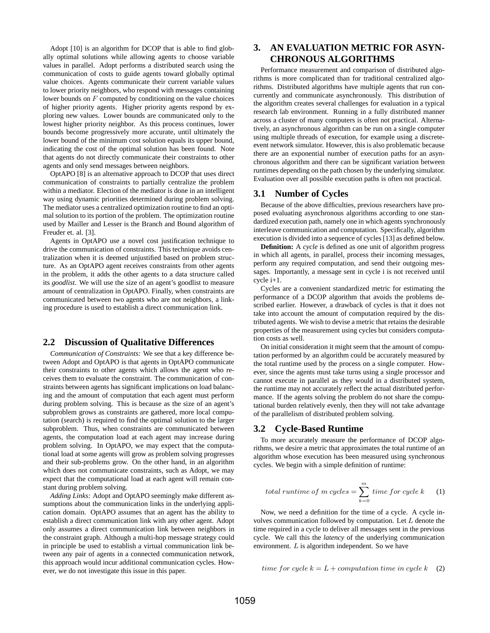Adopt [10] is an algorithm for DCOP that is able to find globally optimal solutions while allowing agents to choose variable values in parallel. Adopt performs a distributed search using the communication of costs to guide agents toward globally optimal value choices. Agents communicate their current variable values to lower priority neighbors, who respond with messages containing lower bounds on  $F$  computed by conditioning on the value choices of higher priority agents. Higher priority agents respond by exploring new values. Lower bounds are communicated only to the lowest higher priority neighbor. As this process continues, lower bounds become progressively more accurate, until ultimately the lower bound of the minimum cost solution equals its upper bound, indicating the cost of the optimal solution has been found. Note that agents do not directly communicate their constraints to other agents and only send messages between neighbors.

OptAPO [8] is an alternative approach to DCOP that uses direct communication of constraints to partially centralize the problem within a mediator. Election of the mediator is done in an intelligent way using dynamic priorities determined during problem solving. The mediator uses a centralized optimization routine to find an optimal solution to its portion of the problem. The optimization routine used by Mailler and Lesser is the Branch and Bound algorithm of Freuder et. al. [3].

Agents in OptAPO use a novel cost justification technique to drive the communication of constraints. This technique avoids centralization when it is deemed unjustified based on problem structure. As an OptAPO agent receives constraints from other agents in the problem, it adds the other agents to a data structure called its *goodlist*. We will use the size of an agent's goodlist to measure amount of centralization in OptAPO. Finally, when constraints are communicated between two agents who are not neighbors, a linking procedure is used to establish a direct communication link.

## **2.2 Discussion of Qualitative Differences**

*Communication of Constraints:* We see that a key difference between Adopt and OptAPO is that agents in OptAPO communicate their constraints to other agents which allows the agent who receives them to evaluate the constraint. The communication of constraints between agents has significant implications on load balancing and the amount of computation that each agent must perform during problem solving. This is because as the size of an agent's subproblem grows as constraints are gathered, more local computation (search) is required to find the optimal solution to the larger subproblem. Thus, when constraints are communicated between agents, the computation load at each agent may increase during problem solving. In OptAPO, we may expect that the computational load at some agents will grow as problem solving progresses and their sub-problems grow. On the other hand, in an algorithm which does not communicate constraints, such as Adopt, we may expect that the computational load at each agent will remain constant during problem solving.

*Adding Links:* Adopt and OptAPO seemingly make different assumptions about the communication links in the underlying application domain. OptAPO assumes that an agent has the ability to establish a direct communication link with any other agent. Adopt only assumes a direct communication link between neighbors in the constraint graph. Although a multi-hop message strategy could in principle be used to establish a virtual communication link between any pair of agents in a connected communication network, this approach would incur additional communication cycles. However, we do not investigate this issue in this paper.

# **3. AN EVALUATION METRIC FOR ASYN-CHRONOUS ALGORITHMS**

Performance measurement and comparison of distributed algorithms is more complicated than for traditional centralized algorithms. Distributed algorithms have multiple agents that run concurrently and communicate asynchronously. This distribution of the algorithm creates several challenges for evaluation in a typical research lab environment. Running in a fully distributed manner across a cluster of many computers is often not practical. Alternatively, an asynchronous algorithm can be run on a single computer using multiple threads of execution, for example using a discreteevent network simulator. However, this is also problematic because there are an exponential number of execution paths for an asynchronous algorithm and there can be significant variation between runtimes depending on the path chosen by the underlying simulator. Evaluation over all possible execution paths is often not practical.

# **3.1 Number of Cycles**

Because of the above difficulties, previous researchers have proposed evaluating asynchronous algorithms according to one standardized execution path, namely one in which agents synchronously interleave communication and computation. Specifically, algorithm execution is divided into a sequence of cycles [13] as defined below.

**Definition:** A *cycle* is defined as one unit of algorithm progress in which all agents, in parallel, process their incoming messages, perform any required computation, and send their outgoing messages. Importantly, a message sent in cycle i is not received until cycle i+1.

Cycles are a convenient standardized metric for estimating the performance of a DCOP algorithm that avoids the problems described earlier. However, a drawback of cycles is that it does not take into account the amount of computation required by the distributed agents. We wish to devise a metric that retains the desirable properties of the measurement using cycles but considers computation costs as well.

On initial consideration it might seem that the amount of computation performed by an algorithm could be accurately measured by the total runtime used by the process on a single computer. However, since the agents must take turns using a single processor and cannot execute in parallel as they would in a distributed system, the runtime may not accurately reflect the actual distributed performance. If the agents solving the problem do not share the computational burden relatively evenly, then they will not take advantage of the parallelism of distributed problem solving.

## **3.2 Cycle-Based Runtime**

To more accurately measure the performance of DCOP algorithms, we desire a metric that approximates the total runtime of an algorithm whose execution has been measured using synchronous cycles. We begin with a simple definition of runtime:

total runtime of m cycles = 
$$
\sum_{k=0}^{m} time for cycle k
$$
 (1)

Now, we need a definition for the time of a cycle. A cycle involves communication followed by computation. Let L denote the time required in a cycle to deliver all messages sent in the previous cycle. We call this the *latency* of the underlying communication environment. L is algorithm independent. So we have

time for cycle 
$$
k = L +
$$
 computation time in cycle  $k$  (2)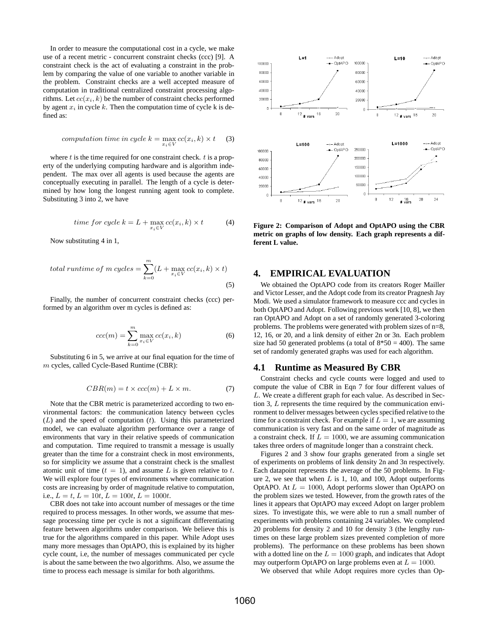In order to measure the computational cost in a cycle, we make use of a recent metric - concurrent constraint checks (ccc) [9]. A constraint check is the act of evaluating a constraint in the problem by comparing the value of one variable to another variable in the problem. Constraint checks are a well accepted measure of computation in traditional centralized constraint processing algorithms. Let  $cc(x_i, k)$  be the number of constraint checks performed by agent  $x_i$  in cycle k. Then the computation time of cycle k is defined as:

$$
computation time in cycle k = \max_{x_i \in V} cc(x_i, k) \times t \quad (3)
$$

where  $t$  is the time required for one constraint check.  $t$  is a property of the underlying computing hardware and is algorithm independent. The max over all agents is used because the agents are conceptually executing in parallel. The length of a cycle is determined by how long the longest running agent took to complete. Substituting 3 into 2, we have

time for cycle 
$$
k = L + \max_{x_i \in V} cc(x_i, k) \times t
$$
 (4)

Now substituting 4 in 1,

total runtime of m cycles = 
$$
\sum_{k=0}^{m} (L + \max_{x_i \in V} cc(x_i, k) \times t)
$$
(5)

Finally, the number of concurrent constraint checks (ccc) performed by an algorithm over m cycles is defined as:

$$
ccc(m) = \sum_{k=0}^{m} \max_{x_i \in V} cc(x_i, k)
$$
 (6)

Substituting 6 in 5, we arrive at our final equation for the time of m cycles, called Cycle-Based Runtime (CBR):

$$
CBR(m) = t \times ccc(m) + L \times m.
$$
 (7)

Note that the CBR metric is parameterized according to two environmental factors: the communication latency between cycles  $(L)$  and the speed of computation  $(t)$ . Using this parameterized model, we can evaluate algorithm performance over a range of environments that vary in their relative speeds of communication and computation. Time required to transmit a message is usually greater than the time for a constraint check in most environments, so for simplicity we assume that a constraint check is the smallest atomic unit of time  $(t = 1)$ , and assume L is given relative to t. We will explore four types of environments where communication costs are increasing by order of magnitude relative to computation, i.e.,  $L = t$ ,  $L = 10t$ ,  $L = 100t$ ,  $L = 1000t$ .

CBR does not take into account number of messages or the time required to process messages. In other words, we assume that message processing time per cycle is not a significant differentiating feature between algorithms under comparison. We believe this is true for the algorithms compared in this paper. While Adopt uses many more messages than OptAPO, this is explained by its higher cycle count, i.e, the number of messages communicated per cycle is about the same between the two algorithms. Also, we assume the time to process each message is similar for both algorithms.



**Figure 2: Comparison of Adopt and OptAPO using the CBR metric on graphs of low density. Each graph represents a different L value.**

### **4. EMPIRICAL EVALUATION**

We obtained the OptAPO code from its creators Roger Mailler and Victor Lesser, and the Adopt code from its creator Pragnesh Jay Modi. We used a simulator framework to measure ccc and cycles in both OptAPO and Adopt. Following previous work [10, 8], we then ran OptAPO and Adopt on a set of randomly generated 3-coloring problems. The problems were generated with problem sizes of n=8, 12, 16, or 20, and a link density of either 2n or 3n. Each problem size had 50 generated problems (a total of  $8*50 = 400$ ). The same set of randomly generated graphs was used for each algorithm.

#### **4.1 Runtime as Measured By CBR**

Constraint checks and cycle counts were logged and used to compute the value of CBR in Eqn 7 for four different values of L. We create a different graph for each value. As described in Section 3, L represents the time required by the communication environment to deliver messages between cycles specified relative to the time for a constraint check. For example if  $L = 1$ , we are assuming communication is very fast and on the same order of magnitude as a constraint check. If  $L = 1000$ , we are assuming communication takes three orders of magnitude longer than a constraint check.

Figures 2 and 3 show four graphs generated from a single set of experiments on problems of link density 2n and 3n respectively. Each datapoint represents the average of the 50 problems. In Figure 2, we see that when  $L$  is 1, 10, and 100, Adopt outperforms OptAPO. At  $L = 1000$ , Adopt performs slower than OptAPO on the problem sizes we tested. However, from the growth rates of the lines it appears that OptAPO may exceed Adopt on larger problem sizes. To investigate this, we were able to run a small number of experiments with problems containing 24 variables. We completed 20 problems for density 2 and 10 for density 3 (the lengthy runtimes on these large problem sizes prevented completion of more problems). The performance on these problems has been shown with a dotted line on the  $L = 1000$  graph, and indicates that Adopt may outperform OptAPO on large problems even at  $L = 1000$ .

We observed that while Adopt requires more cycles than Op-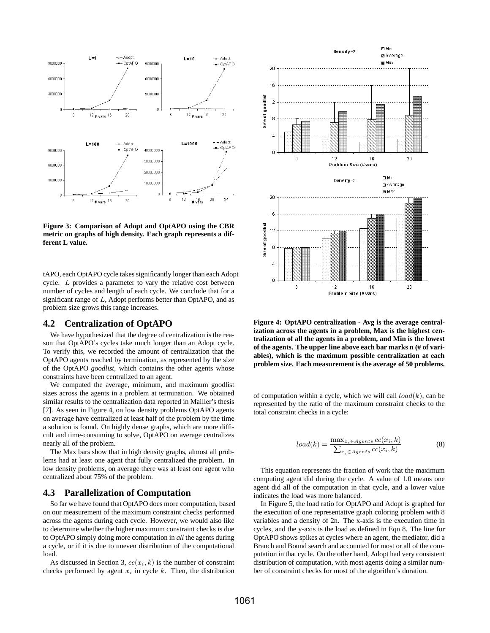

**Figure 3: Comparison of Adopt and OptAPO using the CBR metric on graphs of high density. Each graph represents a different L value.**

tAPO, each OptAPO cycle takes significantly longer than each Adopt cycle. L provides a parameter to vary the relative cost between number of cycles and length of each cycle. We conclude that for a significant range of L, Adopt performs better than OptAPO, and as problem size grows this range increases.

#### **4.2 Centralization of OptAPO**

We have hypothesized that the degree of centralization is the reason that OptAPO's cycles take much longer than an Adopt cycle. To verify this, we recorded the amount of centralization that the OptAPO agents reached by termination, as represented by the size of the OptAPO *goodlist*, which contains the other agents whose constraints have been centralized to an agent.

We computed the average, minimum, and maximum goodlist sizes across the agents in a problem at termination. We obtained similar results to the centralization data reported in Mailler's thesis [7]. As seen in Figure 4, on low density problems OptAPO agents on average have centralized at least half of the problem by the time a solution is found. On highly dense graphs, which are more difficult and time-consuming to solve, OptAPO on average centralizes nearly all of the problem.

The Max bars show that in high density graphs, almost all problems had at least one agent that fully centralized the problem. In low density problems, on average there was at least one agent who centralized about 75% of the problem.

## **4.3 Parallelization of Computation**

So far we have found that OptAPO does more computation, based on our measurement of the maximum constraint checks performed across the agents during each cycle. However, we would also like to determine whether the higher maximum constraint checks is due to OptAPO simply doing more computation in *all* the agents during a cycle, or if it is due to uneven distribution of the computational load.

As discussed in Section 3,  $cc(x_i, k)$  is the number of constraint checks performed by agent  $x_i$  in cycle k. Then, the distribution



**Figure 4: OptAPO centralization - Avg is the average centralization across the agents in a problem, Max is the highest centralization of all the agents in a problem, and Min is the lowest of the agents. The upper line above each bar marks n (# of variables), which is the maximum possible centralization at each problem size. Each measurement is the average of 50 problems.**

of computation within a cycle, which we will call  $load(k)$ , can be represented by the ratio of the maximum constraint checks to the total constraint checks in a cycle:

$$
load(k) = \frac{\max_{x_i \in Agents} cc(x_i, k)}{\sum_{x_i \in Agents} cc(x_i, k)}
$$
(8)

This equation represents the fraction of work that the maximum computing agent did during the cycle. A value of 1.0 means one agent did all of the computation in that cycle, and a lower value indicates the load was more balanced.

In Figure 5, the load ratio for OptAPO and Adopt is graphed for the execution of one representative graph coloring problem with 8 variables and a density of 2n. The x-axis is the execution time in cycles, and the y-axis is the load as defined in Eqn 8. The line for OptAPO shows spikes at cycles where an agent, the mediator, did a Branch and Bound search and accounted for most or all of the computation in that cycle. On the other hand, Adopt had very consistent distribution of computation, with most agents doing a similar number of constraint checks for most of the algorithm's duration.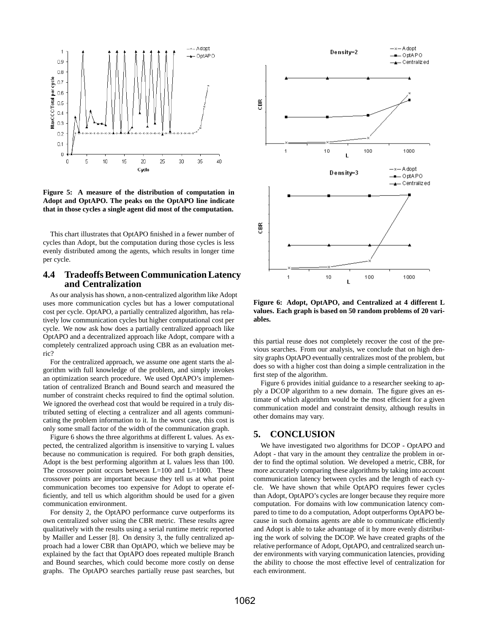

**Figure 5: A measure of the distribution of computation in Adopt and OptAPO. The peaks on the OptAPO line indicate that in those cycles a single agent did most of the computation.**

This chart illustrates that OptAPO finished in a fewer number of cycles than Adopt, but the computation during those cycles is less evenly distributed among the agents, which results in longer time per cycle.

## **4.4 Tradeoffs Between Communication Latency and Centralization**

As our analysis has shown, a non-centralized algorithm like Adopt uses more communication cycles but has a lower computational cost per cycle. OptAPO, a partially centralized algorithm, has relatively low communication cycles but higher computational cost per cycle. We now ask how does a partially centralized approach like OptAPO and a decentralized approach like Adopt, compare with a completely centralized approach using CBR as an evaluation metric?

For the centralized approach, we assume one agent starts the algorithm with full knowledge of the problem, and simply invokes an optimization search procedure. We used OptAPO's implementation of centralized Branch and Bound search and measured the number of constraint checks required to find the optimal solution. We ignored the overhead cost that would be required in a truly distributed setting of electing a centralizer and all agents communicating the problem information to it. In the worst case, this cost is only some small factor of the width of the communication graph.

Figure 6 shows the three algorithms at different L values. As expected, the centralized algorithm is insensitive to varying L values because no communication is required. For both graph densities, Adopt is the best performing algorithm at L values less than 100. The crossover point occurs between  $L=100$  and  $L=1000$ . These crossover points are important because they tell us at what point communication becomes too expensive for Adopt to operate efficiently, and tell us which algorithm should be used for a given communication environment.

For density 2, the OptAPO performance curve outperforms its own centralized solver using the CBR metric. These results agree qualitatively with the results using a serial runtime metric reported by Mailler and Lesser [8]. On density 3, the fully centralized approach had a lower CBR than OptAPO, which we believe may be explained by the fact that OptAPO does repeated multiple Branch and Bound searches, which could become more costly on dense graphs. The OptAPO searches partially reuse past searches, but



**Figure 6: Adopt, OptAPO, and Centralized at 4 different L values. Each graph is based on 50 random problems of 20 variables.**

this partial reuse does not completely recover the cost of the previous searches. From our analysis, we conclude that on high density graphs OptAPO eventually centralizes most of the problem, but does so with a higher cost than doing a simple centralization in the first step of the algorithm.

Figure 6 provides initial guidance to a researcher seeking to apply a DCOP algorithm to a new domain. The figure gives an estimate of which algorithm would be the most efficient for a given communication model and constraint density, although results in other domains may vary.

## **5. CONCLUSION**

We have investigated two algorithms for DCOP - OptAPO and Adopt - that vary in the amount they centralize the problem in order to find the optimal solution. We developed a metric, CBR, for more accurately comparing these algorithms by taking into account communication latency between cycles and the length of each cycle. We have shown that while OptAPO requires fewer cycles than Adopt, OptAPO's cycles are longer because they require more computation. For domains with low communication latency compared to time to do a computation, Adopt outperforms OptAPO because in such domains agents are able to communicate efficiently and Adopt is able to take advantage of it by more evenly distributing the work of solving the DCOP. We have created graphs of the relative performance of Adopt, OptAPO, and centralized search under environments with varying communication latencies, providing the ability to choose the most effective level of centralization for each environment.